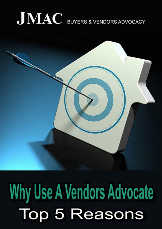# $JMAC$  BUYERS & VENDORS ADVOCACY

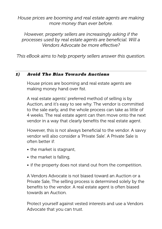*House prices are booming and real estate agents are making more money than ever before.* 

*However, property sellers are increasingly asking if the processes used by real estate agents are beneficial. Will a Vendors Advocate be more efective?* 

*This eBook aims to help property sellers answer this question.* 

## *1) Avoid The Bias Towards Auctions*

House prices are booming and real estate agents are making money hand over fist.

A real estate agents' preferred method of selling is by Auction, and it's easy to see why. The vendor is committed to the sale early, and the whole process can take as little of 4 weeks. The real estate agent can then move onto the next vendor in a way that clearly benefits the real estate agent.

However, this is not always beneficial to the vendor. A savvy vendor will also consider a 'Private Sale'. A Private Sale is often better if:

- the market is stagnant,
- the market is falling,
- if the property does not stand out from the competition.

A Vendors Advocate is not biased toward an Auction or a Private Sale, The selling process is determined solely by the benefits to the vendor. A real estate agent is often biased towards an Auction.

Protect yourself against vested interests and use a Vendors Advocate that you can trust.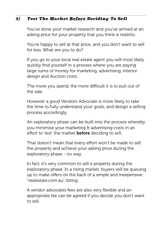### *2) Test The Market Before Deciding To Sell*

You've done your market research and you've arrived at an asking price for your property that you think is realistic.

You're happy to sell at that price, and you don't want to sell for less. What are you to do?

If you go to your local real estate agent you will most likely quickly find yourself in a process where you are paying large sums of money for marketing, advertising, interior design and Auction costs.

The more you spend, the more difficult it is to pull out of the sale.

However a good Vendors Advocate is more likely to take the time to fully understand your goals, and design a selling process accordingly.

An exploratory phase can be built into the process whereby you minimise your marketing & advertising costs in an effort to 'test' the market **before** deciding to sell.

That doesn't mean that every effort won't be made to sell the property and achieve your asking price during the exploratory phase - no way.

In fact, it's very common to sell a property during the exploratory phase. In a rising market, buyers will be queuing up to make offers on the back of a simple and inexpensive "realestate.com.au" listing.

A vendor advocates fees are also very flexible and an appropriate fee can be agreed if you decide you don't want to sell.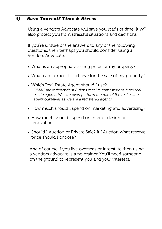#### *3) Save Yourself Time & Stress*

Using a Vendors Advocate will save you loads of time. It will also protect you from stressful situations and decisions.

If you're unsure of the answers to any of the following questions, then perhaps you should consider using a Vendors Advocate:

- What is an appropriate asking price for my property?
- What can I expect to achieve for the sale of my property?
- Which Real Estate Agent should I use? *(JMAC are independent & don't receive commissions from real estate agents. We can even perform the role of the real estate agent ourselves as we are a registered agent.)*
- How much should I spend on marketing and advertising?
- How much should I spend on interior design or renovating?
- Should I Auction or Private Sale? If I Auction what reserve price should I choose?

And of course if you live overseas or interstate then using a vendors advocate is a no brainer. You'll need someone on the ground to represent you and your interests.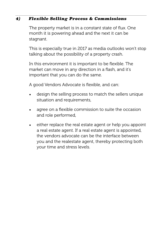## *4) Flexible Selling Process & Commissions*

The property market is in a constant state of flux. One month it is powering ahead and the next it can be stagnant.

This is especially true in 2017 as media outlooks won't stop talking about the possibility of a property crash.

In this environment it is important to be flexible. The market can move in any direction in a flash, and it's important that you can do the same.

A good Vendors Advocate is flexible, and can:

- design the selling process to match the sellers unique situation and requirements,
- agree on a flexible commission to suite the occasion and role performed,
- either replace the real estate agent or help you appoint a real estate agent. If a real estate agent is appointed, the vendors advocate can be the interface between you and the realestate agent, thereby protecting both your time and stress levels.